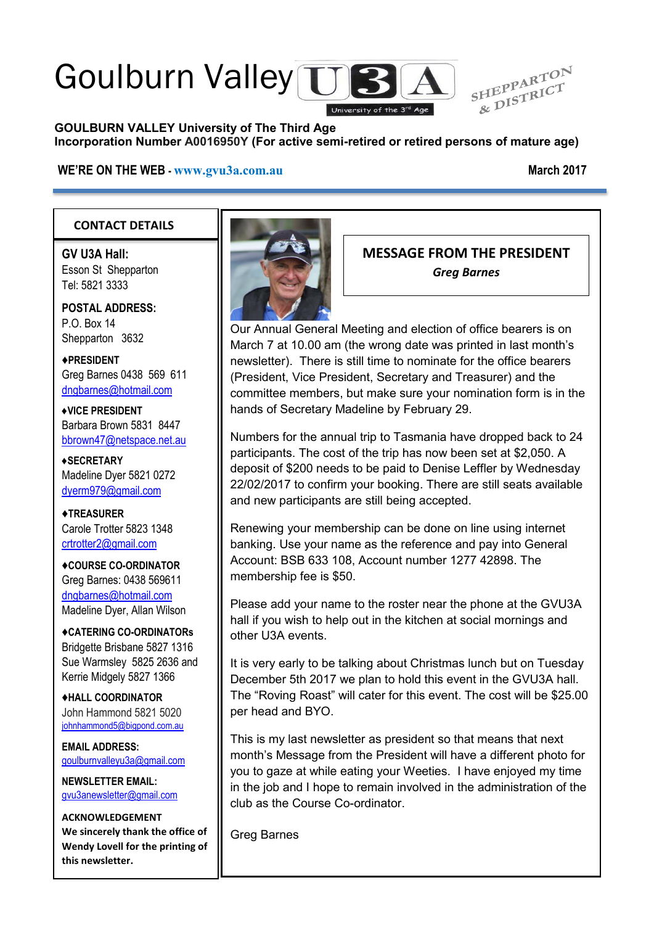# Goulburn Valley TTB



#### **GOULBURN VALLEY University of The Third Age Incorporation Number A0016950Y (For active semi-retired or retired persons of mature age)**

#### **WE'RE ON THE WEB - [www.gvu3a.com.au](http://www.gvu3a.com.au/) March 2017**

#### **CONTACT DETAILS**

**GV U3A Hall:** Esson St Shepparton Tel: 5821 3333

**POSTAL ADDRESS:** P.O. Box 14 Shepparton 3632

♦**PRESIDENT** Greg Barnes 0438 569 611 [dngbarnes@hotmail.com](mailto:dngbarnes@hotmail.com)

**♦VICE PRESIDENT** Barbara Brown 5831 8447 [bbrown47@netspace.net.au](mailto:bbrown47@netspace.net.au)

**♦SECRETARY** Madeline Dyer 5821 0272 [dyerm979@gmail.com](mailto:dyerm979@gmail.com)

♦**TREASURER** Carole Trotter 5823 1348 crtrotter2@gmail.com

♦**COURSE CO-ORDINATOR** Greg Barnes: 0438 569611 [dngbarnes@hotmail.com](mailto:dngbarnes@hotmail.com) Madeline Dyer, Allan Wilson

♦**CATERING CO-ORDINATORs** Bridgette Brisbane 5827 1316 Sue Warmsley 5825 2636 and Kerrie Midgely 5827 1366

♦**HALL COORDINATOR** John Hammond 5821 5020 [johnhammond5@bigpond.com.au](mailto:johnhammond5@bigpond.com.au)

**EMAIL ADDRESS:** [goulburnvalleyu3a@gmail.com](mailto:goulburnvalleyu3a@gmail.com)

**NEWSLETTER EMAIL:** [gvu3anewsletter@gmail.com](mailto:gvu3anewsletter@gmail.com)

**ACKNOWLEDGEMENT We sincerely thank the office of Wendy Lovell for the printing of this newsletter.**



#### **MESSAGE FROM THE PRESIDENT** *Greg Barnes*

Our Annual General Meeting and election of office bearers is on March 7 at 10.00 am (the wrong date was printed in last month's newsletter). There is still time to nominate for the office bearers (President, Vice President, Secretary and Treasurer) and the committee members, but make sure your nomination form is in the hands of Secretary Madeline by February 29.

Numbers for the annual trip to Tasmania have dropped back to 24 participants. The cost of the trip has now been set at \$2,050. A deposit of \$200 needs to be paid to Denise Leffler by Wednesday 22/02/2017 to confirm your booking. There are still seats available and new participants are still being accepted.

Renewing your membership can be done on line using internet banking. Use your name as the reference and pay into General Account: BSB 633 108, Account number 1277 42898. The membership fee is \$50.

Please add your name to the roster near the phone at the GVU3A hall if you wish to help out in the kitchen at social mornings and other U3A events.

It is very early to be talking about Christmas lunch but on Tuesday December 5th 2017 we plan to hold this event in the GVU3A hall. The "Roving Roast" will cater for this event. The cost will be \$25.00 per head and BYO.

This is my last newsletter as president so that means that next month's Message from the President will have a different photo for you to gaze at while eating your Weeties. I have enjoyed my time in the job and I hope to remain involved in the administration of the club as the Course Co-ordinator.

Greg Barnes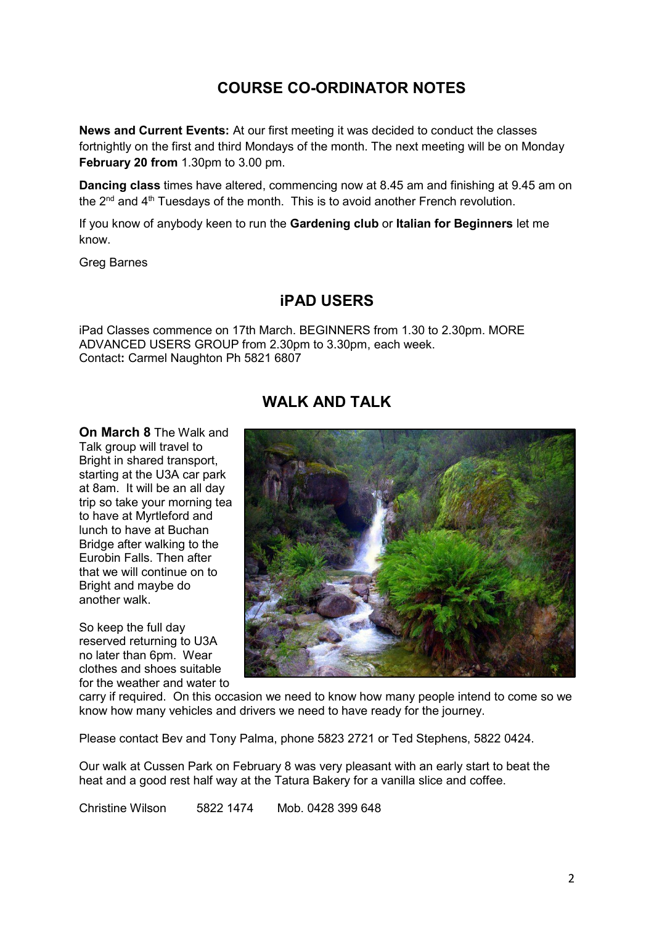# **COURSE CO-ORDINATOR NOTES**

**News and Current Events:** At our first meeting it was decided to conduct the classes fortnightly on the first and third Mondays of the month. The next meeting will be on Monday **February 20 from** 1.30pm to 3.00 pm.

**Dancing class** times have altered, commencing now at 8.45 am and finishing at 9.45 am on the  $2^{nd}$  and  $4^{th}$  Tuesdays of the month. This is to avoid another French revolution.

If you know of anybody keen to run the **Gardening club** or **Italian for Beginners** let me know.

Greg Barnes

#### **iPAD USERS**

iPad Classes commence on 17th March. BEGINNERS from 1.30 to 2.30pm. MORE ADVANCED USERS GROUP from 2.30pm to 3.30pm, each week. Contact**:** Carmel Naughton Ph 5821 6807

# **WALK AND TALK**

**On March 8** The Walk and Talk group will travel to Bright in shared transport, starting at the U3A car park at 8am. It will be an all day trip so take your morning tea to have at Myrtleford and lunch to have at Buchan Bridge after walking to the Eurobin Falls. Then after that we will continue on to Bright and maybe do another walk.

So keep the full day reserved returning to U3A no later than 6pm. Wear clothes and shoes suitable for the weather and water to



carry if required. On this occasion we need to know how many people intend to come so we know how many vehicles and drivers we need to have ready for the journey.

Please contact Bev and Tony Palma, phone 5823 2721 or Ted Stephens, 5822 0424.

Our walk at Cussen Park on February 8 was very pleasant with an early start to beat the heat and a good rest half way at the Tatura Bakery for a vanilla slice and coffee.

Christine Wilson 5822 1474 Mob. 0428 399 648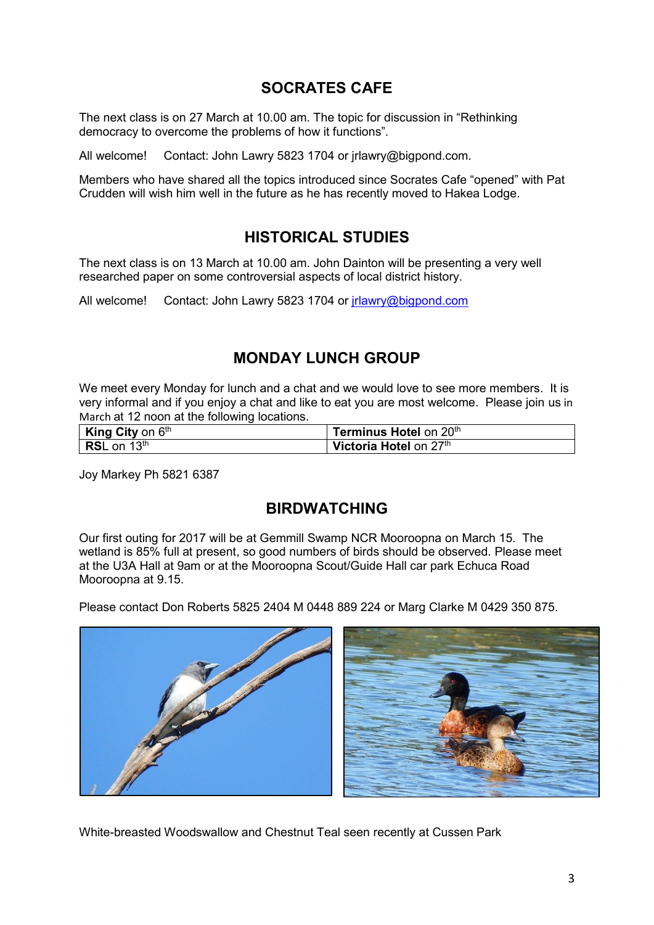# **SOCRATES CAFE**

The next class is on 27 March at 10.00 am. The topic for discussion in "Rethinking democracy to overcome the problems of how it functions".

All welcome! Contact: John Lawry 5823 1704 or jrlawry@bigpond.com.

Members who have shared all the topics introduced since Socrates Cafe "opened" with Pat Crudden will wish him well in the future as he has recently moved to Hakea Lodge.

# **HISTORICAL STUDIES**

The next class is on 13 March at 10.00 am. John Dainton will be presenting a very well researched paper on some controversial aspects of local district history.

All welcome! Contact: John Lawry 5823 1704 or [jrlawry@bigpond.com](mailto:jrlawry@bigpond.com)

## **MONDAY LUNCH GROUP**

We meet every Monday for lunch and a chat and we would love to see more members. It is very informal and if you enjoy a chat and like to eat you are most welcome. Please join us in March at 12 noon at the following locations.

| <b>King City on <math>6th</math></b> | Terminus Hotel on 20th |
|--------------------------------------|------------------------|
| <b>RSL</b> on 13 <sup>th</sup>       | Victoria Hotel on 27th |

Joy Markey Ph 5821 6387

#### **BIRDWATCHING**

Our first outing for 2017 will be at Gemmill Swamp NCR Mooroopna on March 15. The wetland is 85% full at present, so good numbers of birds should be observed. Please meet at the U3A Hall at 9am or at the Mooroopna Scout/Guide Hall car park Echuca Road Mooroopna at 9.15.

Please contact Don Roberts 5825 2404 M 0448 889 224 or Marg Clarke M 0429 350 875.



White-breasted Woodswallow and Chestnut Teal seen recently at Cussen Park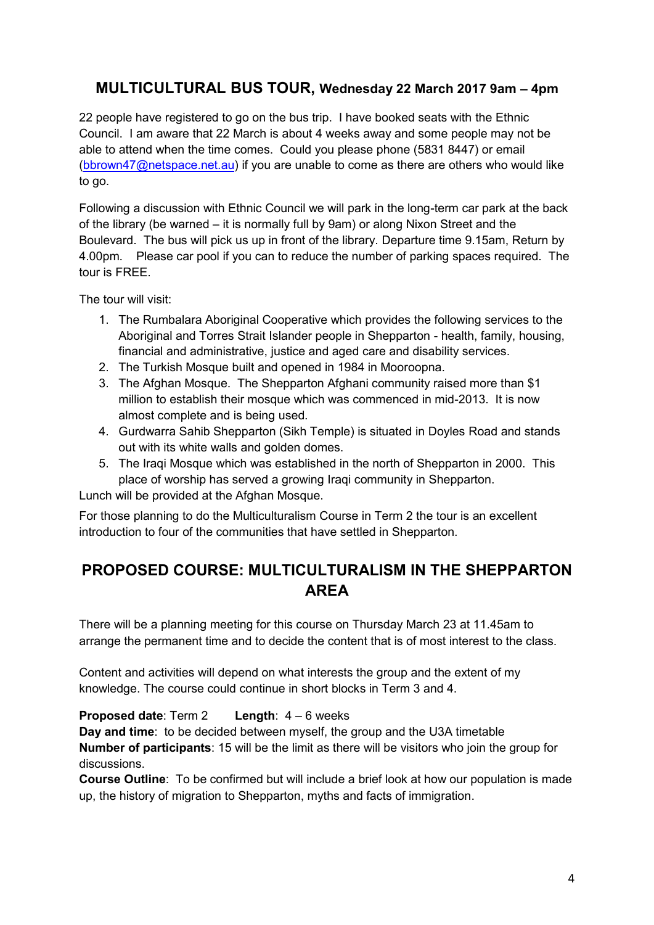# **MULTICULTURAL BUS TOUR, Wednesday 22 March 2017 9am – 4pm**

22 people have registered to go on the bus trip. I have booked seats with the Ethnic Council. I am aware that 22 March is about 4 weeks away and some people may not be able to attend when the time comes. Could you please phone (5831 8447) or email [\(bbrown47@netspace.net.au\)](mailto:bbrown47@netspace.net.au) if you are unable to come as there are others who would like to go.

Following a discussion with Ethnic Council we will park in the long-term car park at the back of the library (be warned – it is normally full by 9am) or along Nixon Street and the Boulevard. The bus will pick us up in front of the library. Departure time 9.15am, Return by 4.00pm. Please car pool if you can to reduce the number of parking spaces required. The tour is FREE.

The tour will visit:

- 1. The Rumbalara Aboriginal Cooperative which provides the following services to the Aboriginal and Torres Strait Islander people in Shepparton - health, family, housing, financial and administrative, justice and aged care and disability services.
- 2. The Turkish Mosque built and opened in 1984 in Mooroopna.
- 3. The Afghan Mosque. The Shepparton Afghani community raised more than \$1 million to establish their mosque which was commenced in mid-2013. It is now almost complete and is being used.
- 4. Gurdwarra Sahib Shepparton (Sikh Temple) is situated in Doyles Road and stands out with its white walls and golden domes.
- 5. The Iraqi Mosque which was established in the north of Shepparton in 2000. This place of worship has served a growing Iraqi community in Shepparton.

Lunch will be provided at the Afghan Mosque.

For those planning to do the Multiculturalism Course in Term 2 the tour is an excellent introduction to four of the communities that have settled in Shepparton.

# **PROPOSED COURSE: MULTICULTURALISM IN THE SHEPPARTON AREA**

There will be a planning meeting for this course on Thursday March 23 at 11.45am to arrange the permanent time and to decide the content that is of most interest to the class.

Content and activities will depend on what interests the group and the extent of my knowledge. The course could continue in short blocks in Term 3 and 4.

#### **Proposed date**: Term 2 **Length**: 4 – 6 weeks

**Day and time**: to be decided between myself, the group and the U3A timetable **Number of participants**: 15 will be the limit as there will be visitors who join the group for discussions.

**Course Outline**: To be confirmed but will include a brief look at how our population is made up, the history of migration to Shepparton, myths and facts of immigration.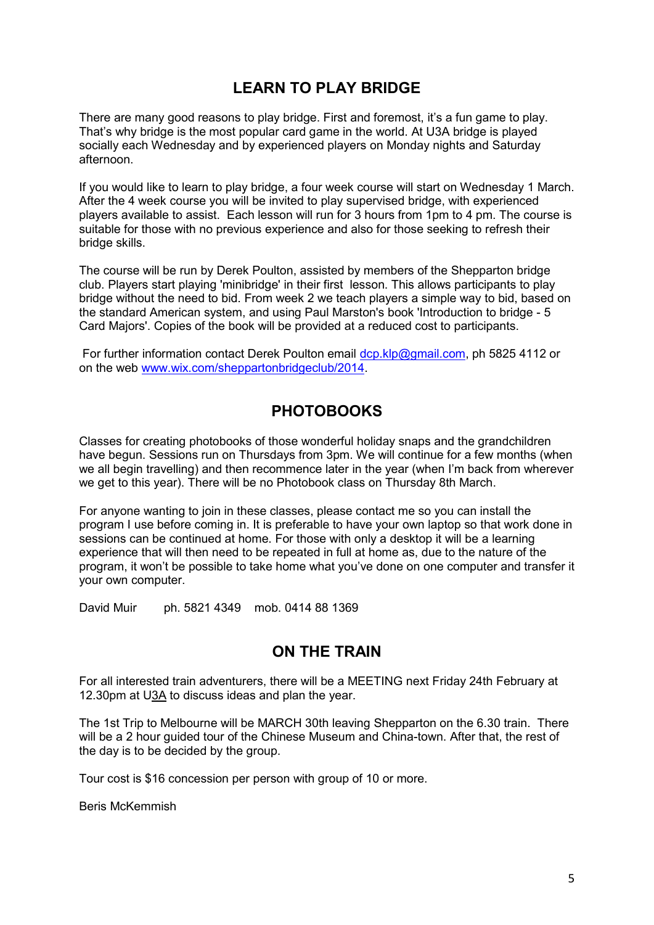# **LEARN TO PLAY BRIDGE**

There are many good reasons to play bridge. First and foremost, it's a fun game to play. That's why bridge is the most popular card game in the world. At U3A bridge is played socially each Wednesday and by experienced players on Monday nights and Saturday afternoon.

If you would like to learn to play bridge, a four week course will start on Wednesday 1 March. After the 4 week course you will be invited to play supervised bridge, with experienced players available to assist. Each lesson will run for 3 hours from 1pm to 4 pm. The course is suitable for those with no previous experience and also for those seeking to refresh their bridge skills.

The course will be run by Derek Poulton, assisted by members of the Shepparton bridge club. Players start playing 'minibridge' in their first lesson. This allows participants to play bridge without the need to bid. From week 2 we teach players a simple way to bid, based on the standard American system, and using Paul Marston's book 'Introduction to bridge - 5 Card Majors'. Copies of the book will be provided at a reduced cost to participants.

For further information contact Derek Poulton email [dcp.klp@gmail.com,](mailto:dcp.klp@gmail.com) ph 5825 4112 or on the web [www.wix.com/sheppartonbridgeclub/2014.](http://www.wix.com/sheppartonbridgeclub/2014)

## **PHOTOBOOKS**

Classes for creating photobooks of those wonderful holiday snaps and the grandchildren have begun. Sessions run on Thursdays from 3pm. We will continue for a few months (when we all begin travelling) and then recommence later in the year (when I'm back from wherever we get to this year). There will be no Photobook class on Thursday 8th March.

For anyone wanting to join in these classes, please contact me so you can install the program I use before coming in. It is preferable to have your own laptop so that work done in sessions can be continued at home. For those with only a desktop it will be a learning experience that will then need to be repeated in full at home as, due to the nature of the program, it won't be possible to take home what you've done on one computer and transfer it your own computer.

David Muir ph. 5821 4349 mob. 0414 88 1369

#### **ON THE TRAIN**

For all interested train adventurers, there will be a MEETING next Friday 24th February at 12.30pm at U3A to discuss ideas and plan the year.

The 1st Trip to Melbourne will be MARCH 30th leaving Shepparton on the 6.30 train. There will be a 2 hour guided tour of the Chinese Museum and China-town. After that, the rest of the day is to be decided by the group.

Tour cost is \$16 concession per person with group of 10 or more.

Beris McKemmish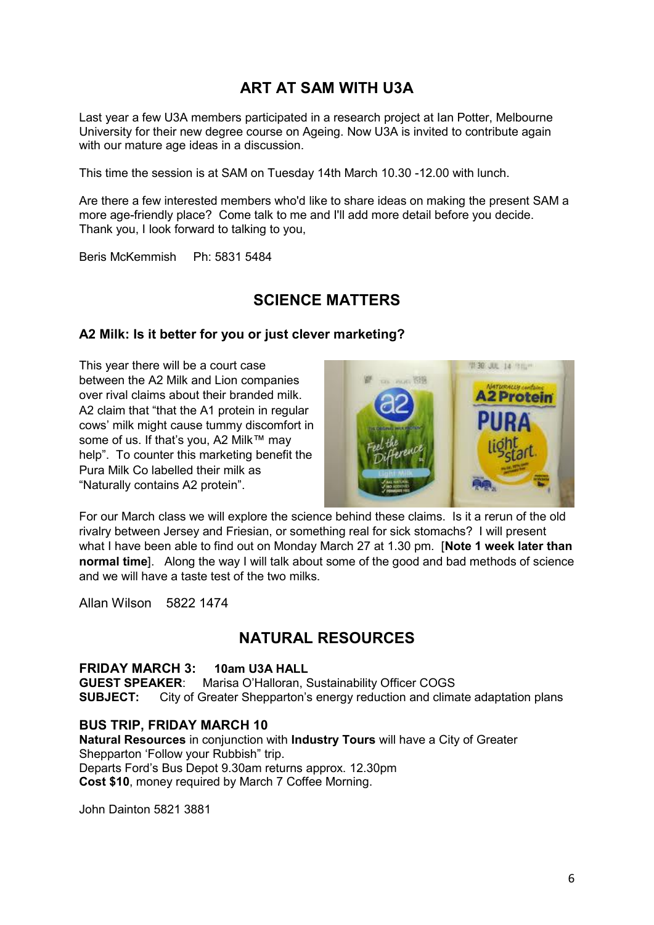# **ART AT SAM WITH U3A**

Last year a few U3A members participated in a research project at Ian Potter, Melbourne University for their new degree course on Ageing. Now U3A is invited to contribute again with our mature age ideas in a discussion.

This time the session is at SAM on Tuesday 14th March 10.30 -12.00 with lunch.

Are there a few interested members who'd like to share ideas on making the present SAM a more age-friendly place? Come talk to me and I'll add more detail before you decide. Thank you, I look forward to talking to you,

Beris McKemmish Ph: 5831 5484

## **SCIENCE MATTERS**

#### **A2 Milk: Is it better for you or just clever marketing?**

This year there will be a court case between the A2 Milk and Lion companies over rival claims about their branded milk. A2 claim that "that the A1 protein in regular cows' milk might cause tummy discomfort in some of us. If that's you, A2 Milk™ may help". To counter this marketing benefit the Pura Milk Co labelled their milk as "Naturally contains A2 protein".



For our March class we will explore the science behind these claims. Is it a rerun of the old rivalry between Jersey and Friesian, or something real for sick stomachs? I will present what I have been able to find out on Monday March 27 at 1.30 pm. [**Note 1 week later than normal time**]. Along the way I will talk about some of the good and bad methods of science and we will have a taste test of the two milks.

Allan Wilson 5822 1474

## **NATURAL RESOURCES**

#### **FRIDAY MARCH 3: 10am U3A HALL**

**GUEST SPEAKER**: Marisa O'Halloran, Sustainability Officer COGS **SUBJECT:** City of Greater Shepparton's energy reduction and climate adaptation plans

#### **BUS TRIP, FRIDAY MARCH 10**

**Natural Resources** in conjunction with **Industry Tours** will have a City of Greater Shepparton 'Follow your Rubbish" trip. Departs Ford's Bus Depot 9.30am returns approx. 12.30pm **Cost \$10**, money required by March 7 Coffee Morning.

John Dainton 5821 3881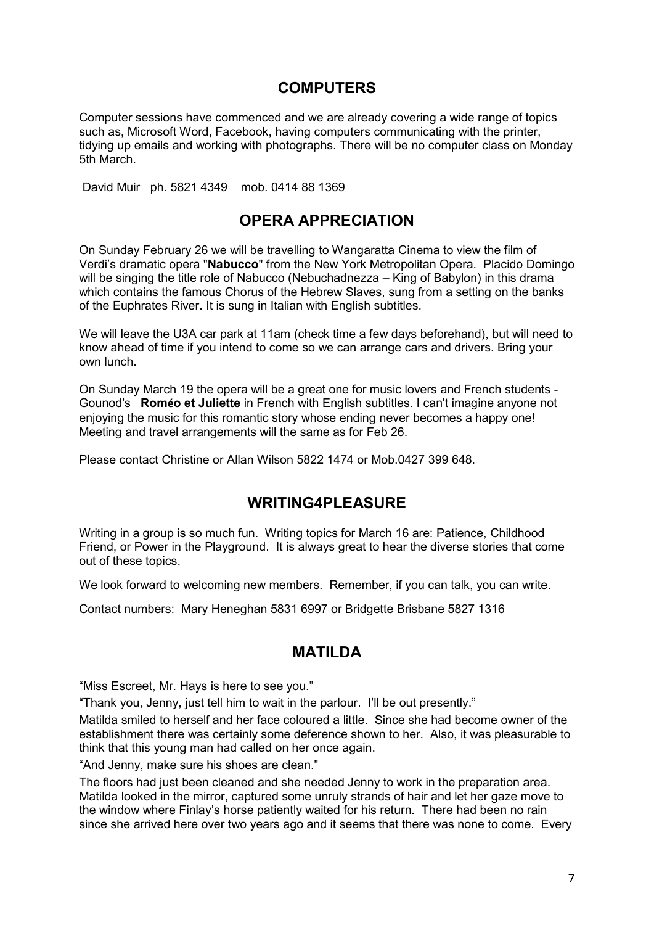## **COMPUTERS**

Computer sessions have commenced and we are already covering a wide range of topics such as, Microsoft Word, Facebook, having computers communicating with the printer, tidying up emails and working with photographs. There will be no computer class on Monday 5th March.

David Muir ph. 5821 4349 mob. 0414 88 1369

## **OPERA APPRECIATION**

On Sunday February 26 we will be travelling to Wangaratta Cinema to view the film of Verdi's dramatic opera "**Nabucco**" from the New York Metropolitan Opera. Placido Domingo will be singing the title role of Nabucco (Nebuchadnezza – King of Babylon) in this drama which contains the famous Chorus of the Hebrew Slaves, sung from a setting on the banks of the Euphrates River. It is sung in Italian with English subtitles.

We will leave the U3A car park at 11am (check time a few days beforehand), but will need to know ahead of time if you intend to come so we can arrange cars and drivers. Bring your own lunch.

On Sunday March 19 the opera will be a great one for music lovers and French students - Gounod's **Roméo et Juliette** in French with English subtitles. I can't imagine anyone not enjoying the music for this romantic story whose ending never becomes a happy one! Meeting and travel arrangements will the same as for Feb 26.

Please contact Christine or Allan Wilson 5822 1474 or Mob.0427 399 648.

## **WRITING4PLEASURE**

Writing in a group is so much fun. Writing topics for March 16 are: Patience, Childhood Friend, or Power in the Playground. It is always great to hear the diverse stories that come out of these topics.

We look forward to welcoming new members. Remember, if you can talk, you can write.

Contact numbers: Mary Heneghan 5831 6997 or Bridgette Brisbane 5827 1316

## **MATILDA**

"Miss Escreet, Mr. Hays is here to see you."

"Thank you, Jenny, just tell him to wait in the parlour. I'll be out presently."

Matilda smiled to herself and her face coloured a little. Since she had become owner of the establishment there was certainly some deference shown to her. Also, it was pleasurable to think that this young man had called on her once again.

"And Jenny, make sure his shoes are clean."

The floors had just been cleaned and she needed Jenny to work in the preparation area. Matilda looked in the mirror, captured some unruly strands of hair and let her gaze move to the window where Finlay's horse patiently waited for his return. There had been no rain since she arrived here over two years ago and it seems that there was none to come. Every